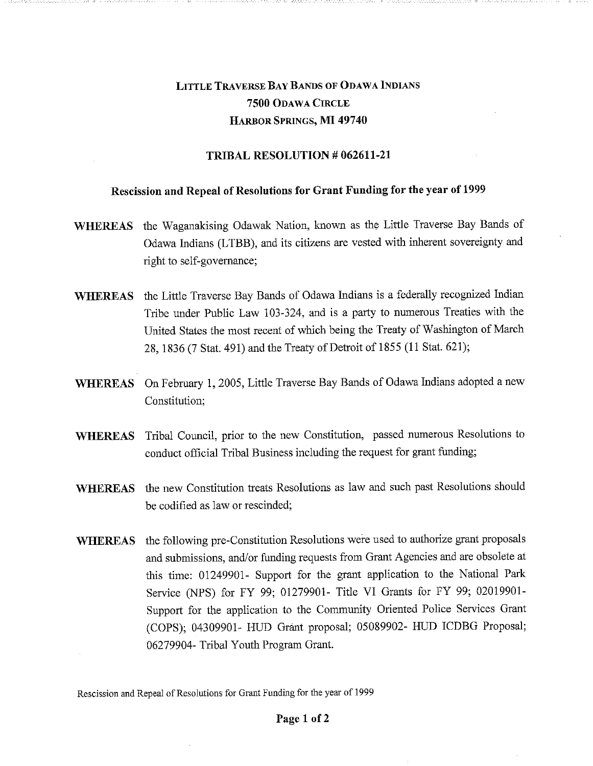## LITTLE TRAVERSE BAY BANDS OF ODAWA INDIANS **7500** ODAWA CIRCLE HARBOR SPRINGS, **MI 49740**

## **TRIBAL RESOLUTION # 062611-21**

## **Rescission and Repeal of Resolutions for Grant Funding for the year of 1999**

- **WHEREAS** the Waganakising Odawak Nation, known as the Little Traverse Bay Bands of Odawa Indians (LTBB), and its citizens are vested with inherent sovereignty and right to self-governance;
- **WHEREAS** the Little Traverse Bay Bands of Odawa Indians is a federally recognized Indian Tribe under Public Law 103-324, and is a party to numerous Treaties with the United States the most recent of which being the Treaty of Washington of March 28, 1836 (7 Stat. 491) and the Treaty of Detroit of 1855 (11 Stat. 621);
- **WHEREAS** On February **1,** 2005, Little Traverse Bay Bands of Odawa Indians adopted a new Constitution;
- **WHEREAS** Tribal Council, prior to the new Constitution, passed numerous Resolutions to conduct official Tribal Business including the request for grant funding;
- **WHEREAS** the new Constitution treats Resolutions as law and such past Resolutions should be codified as law or rescinded;
- **WHEREAS** the following pre-Constitution Resolutions were used to authorize grant proposals and submissions, and/or funding requests from Grant Agencies and are obsolete at this time: 01249901- Support for the grant application to the National Park Service (NPS) for FY 99; 01279901- Title VI Grants for FY 99; 02019901- Support for the application to the Community Oriented Police Services Grant (COPS); 04309901- HUD Grant proposal; 05089902- HUD ICDBG Proposal; 06279904- Tribal Youth Program Grant.

Rescission and Repeal of Resolutions for Grant Funding for the year of 1999